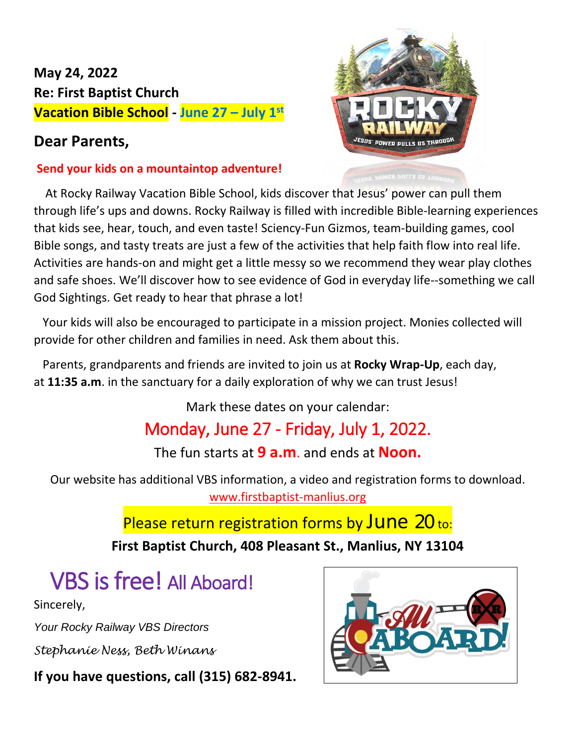#### **May 24, 2022 Re: First Baptist Church Vacation Bible School - June 27 – July 1st**

#### **Dear Parents,**

#### **Send your kids on a mountaintop adventure!**

At Rocky Railway Vacation Bible School, kids discover that Jesus' power can pull them through life's ups and downs. Rocky Railway is filled with incredible Bible-learning experiences that kids see, hear, touch, and even taste! Sciency-Fun Gizmos, team-building games, cool Bible songs, and tasty treats are just a few of the activities that help faith flow into real life. Activities are hands-on and might get a little messy so we recommend they wear play clothes and safe shoes. We'll discover how to see evidence of God in everyday life--something we call God Sightings. Get ready to hear that phrase a lot!

 Your kids will also be encouraged to participate in a mission project. Monies collected will provide for other children and families in need. Ask them about this.

 Parents, grandparents and friends are invited to join us at **Rocky Wrap-Up**, each day, at **11:35 a.m**. in the sanctuary for a daily exploration of why we can trust Jesus!

Mark these dates on your calendar:

## Monday, June 27 - Friday, July 1, 2022.

The fun starts at **9 a.m**. and ends at **Noon.**

Our website has additional VBS information, a video and registration forms to download. [www.firstbaptist-manlius.org](http://www.firstbaptist-manlius.org/)

### Please return registration forms by June 20 to:

**First Baptist Church, 408 Pleasant St., Manlius, NY 13104**

# VBS is free! All Aboard!

Sincerely,

*Your Rocky Railway VBS Directors*

*Stephanie Ness, Beth Winans*

**If you have questions, call (315) 682-8941.**